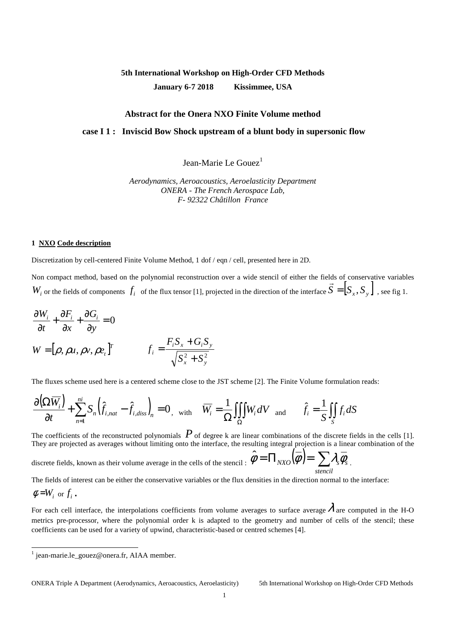# **5th International Workshop on High-Order CFD Methods January 6-7 2018 Kissimmee, USA**

## **Abstract for the Onera NXO Finite Volume method**

### **case I 1 : Inviscid Bow Shock upstream of a blunt body in supersonic flow**

Jean-Marie Le Gouez<sup>1</sup>

*Aerodynamics, Aeroacoustics, Aeroelasticity Department ONERA - The French Aerospace Lab, F- 92322 Châtillon France* 

#### **1 NXO Code description**

Discretization by cell-centered Finite Volume Method, 1 dof / eqn / cell, presented here in 2D.

Non compact method, based on the polynomial reconstruction over a wide stencil of either the fields of conservative variables  $\vec{r}$  $W_i$  or the fields of components  $f_i$  of the flux tensor [1], projected in the direction of the interface  $S = [S_x, S_y]$ , see fig 1.

$$
\frac{\partial W_i}{\partial t} + \frac{\partial F_i}{\partial x} + \frac{\partial G_i}{\partial y} = 0
$$
  
W =  $[\rho, \rho u, \rho v, \rho e_i]^T$  
$$
f_i = \frac{F_i S_x + G_i S_y}{\sqrt{S_x^2 + S_y^2}}
$$

The fluxes scheme used here is a centered scheme close to the JST scheme [2]. The Finite Volume formulation reads:

$$
\frac{\partial(\Omega \overline{W_i})}{\partial t} + \sum_{n=1}^{ni} S_n \left(\hat{f}_{i,nat} - \hat{f}_{i,diss}\right)_n = 0, \text{ with } \overline{W_i} = \frac{1}{\Omega} \iiint_{\Omega} W_i dV \text{ and } \hat{f}_i = \frac{1}{S} \iiint_{S} f_i dS
$$

The coefficients of the reconstructed polynomials  $P$  of degree k are linear combinations of the discrete fields in the cells [1]. They are projected as averages without limiting onto the interface, the resulting integral projection is a linear combination of the

discrete fields, known as their volume average in the cells of the stencil :  $\hat{\phi} = \prod_{NXO} (\overline{\phi}) = \sum \lambda_{s} \overline{\phi}_{s}$  . *stencil*

The fields of interest can be either the conservative variables or the flux densities in the direction normal to the interface:

$$
\phi = W_i \text{ or } f_i.
$$

For each cell interface, the interpolations coefficients from volume averages to surface average  $\lambda$  are computed in the H-O metrics pre-processor, where the polynomial order k is adapted to the geometry and number of cells of the stencil; these coefficients can be used for a variety of upwind, characteristic-based or centred schemes [4].

 1 jean-marie.le\_gouez@onera.fr, AIAA member.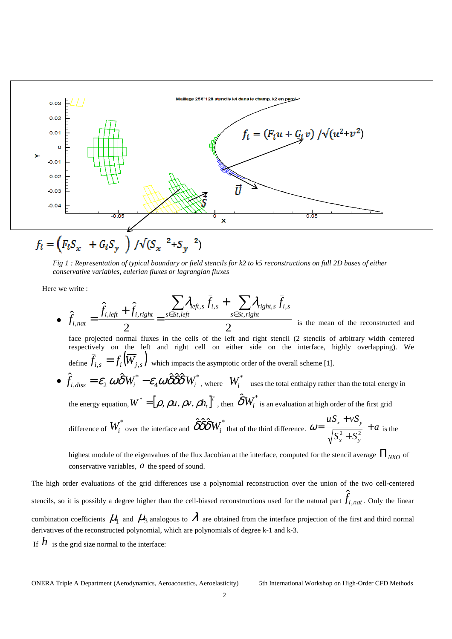

*Fig 1 : Representation of typical boundary or field stencils for k2 to k5 reconstructions on full 2D bases of either conservative variables, eulerian fluxes or lagrangian fluxes* 

Here we write :

$$
\hat{f}_{i,nat} = \frac{\hat{f}_{i,left} + \hat{f}_{i,right}}{2} = \frac{\sum_{s \in St, left} \lambda_{refi, s} \cdot \bar{f}_{i, s} + \sum_{s \in Str, right} \lambda_{right, s} \cdot \bar{f}_{i, s}}{2}
$$
\nis the mean of the reconstructed and face projected normal fluxes in the cells of the left and right stencil (2 stencils of arbitrary width centered respectively on the left and right cell on either side on the interface, highly overlapping). We define  $\bar{f}_{i, s} = f_i(\overline{W}_{j, s})$  which impacts the asymptotic order of the overall scheme [1].  
\n
$$
\hat{f}_{i, discs} = \mathcal{E}_2 \omega \hat{\delta} W_i^* - \mathcal{E}_4 \omega \hat{\delta} \hat{\delta} \hat{\delta} W_i^*
$$
, where  $W_i^*$  uses the total enthalpy rather than the total energy in the energy equation,  $W^* = [\rho, \rho u, \rho v, \rho h_i]^T$ , then  $\hat{\delta} W_i^*$  is an evaluation at high order of the first grid difference of  $W_i^*$  over the interface and  $\hat{\delta} \hat{\delta} \hat{\delta} W_i^*$  that of the third difference.  $\omega = \frac{|u S_x + v S_y|}{\sqrt{S_x^2 + S_y^2}} + a$  is the

highest module of the eigenvalues of the flux Jacobian at the interface, computed for the stencil average  $\Pi_{N XO}$  of conservative variables, *a* the speed of sound.

The high order evaluations of the grid differences use a polynomial reconstruction over the union of the two cell-centered stencils, so it is possibly a degree higher than the cell-biased reconstructions used for the natural part  $\hat{f}_{i,nat}$ . Only the linear combination coefficients  $\mu_{\rm l}$  and  $\mu_{\rm 3}$  analogous to  $\lambda$  are obtained from the interface projection of the first and third normal derivatives of the reconstructed polynomial, which are polynomials of degree k-1 and k-3. If  $h$  is the grid size normal to the interface: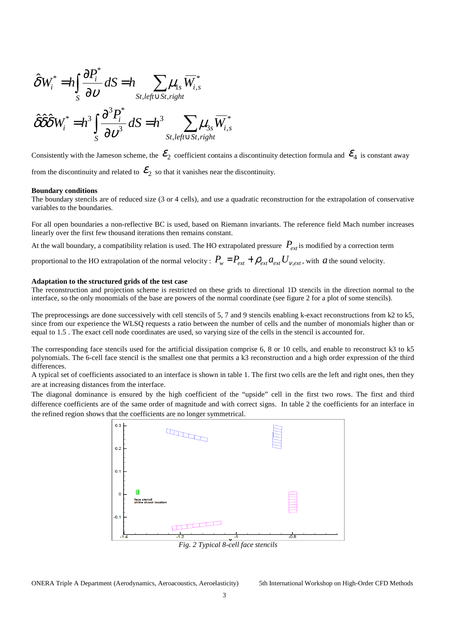$$
\hat{\delta}W_i^* = h \int_S \frac{\partial P_i^*}{\partial \nu} dS = h \sum_{\substack{St, left \cup St, right}} \mu_{1s} \overline{W}_{i,s}^*
$$

$$
\hat{\delta} \hat{\delta} \hat{\delta} W_i^* = h^3 \int_S \frac{\partial^3 P_i^*}{\partial \nu^3} dS = h^3 \sum_{\substack{St, left \cup St, right}} \mu_{3s} \overline{W}_{i,s}^*
$$

Consistently with the Jameson scheme, the  $\mathcal{E}_2$  coefficient contains a discontinuity detection formula and  $\mathcal{E}_4$  is constant away

from the discontinuity and related to  $\mathcal{E}_2$  so that it vanishes near the discontinuity.

#### **Boundary conditions**

The boundary stencils are of reduced size (3 or 4 cells), and use a quadratic reconstruction for the extrapolation of conservative variables to the boundaries.

For all open boundaries a non-reflective BC is used, based on Riemann invariants. The reference field Mach number increases linearly over the first few thousand iterations then remains constant.

At the wall boundary, a compatibility relation is used. The HO extrapolated pressure  $P_{ext}$  is modified by a correction term

proportional to the HO extrapolation of the normal velocity :  $P_w = P_{ext} + \rho_{ext} a_{ext} U_{v,ext}$ , with *a* the sound velocity.

#### **Adaptation to the structured grids of the test case**

The reconstruction and projection scheme is restricted on these grids to directional 1D stencils in the direction normal to the interface, so the only monomials of the base are powers of the normal coordinate (see figure 2 for a plot of some stencils).

The preprocessings are done successively with cell stencils of 5, 7 and 9 stencils enabling k-exact reconstructions from k2 to k5. since from our experience the WLSQ requests a ratio between the number of cells and the number of monomials higher than or equal to 1.5 . The exact cell node coordinates are used, so varying size of the cells in the stencil is accounted for.

The corresponding face stencils used for the artificial dissipation comprise 6, 8 or 10 cells, and enable to reconstruct k3 to k5 polynomials. The 6-cell face stencil is the smallest one that permits a k3 reconstruction and a high order expression of the third differences.

A typical set of coefficients associated to an interface is shown in table 1. The first two cells are the left and right ones, then they are at increasing distances from the interface.

The diagonal dominance is ensured by the high coefficient of the "upside" cell in the first two rows. The first and third difference coefficients are of the same order of magnitude and with correct signs. In table 2 the coefficients for an interface in the refined region shows that the coefficients are no longer symmetrical.

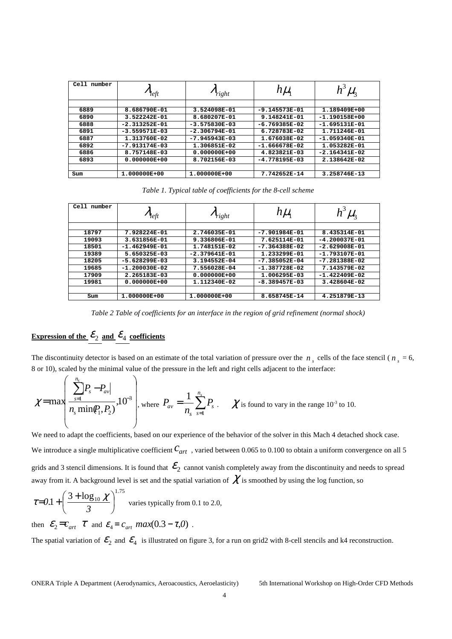| Ce11<br>number | $\eta_{e\!f\!t}$ | $v_{right}$     | $h\mu_{\rm h}$  | hЗ              |
|----------------|------------------|-----------------|-----------------|-----------------|
|                |                  |                 |                 |                 |
| 6889           | 8.686790E-01     | 3.524098E-01    | $-9.145573E-01$ | 1.189409E+00    |
| 6890           | 3.522242E-01     | 8.680207E-01    | 9.148241E-01    | $-1.190158E+00$ |
| 6888           | $-2.313252E-01$  | $-3.575830E-03$ | $-6.769385E-02$ | $-1.695131E-01$ |
| 6891           | $-3.559571E-03$  | $-2.306794E-01$ | 6.728783E-02    | 1.711246E-01    |
| 6887           | 1.313760E-02     | $-7.945943E-03$ | 1.676038E-02    | $-1.059340E-01$ |
| 6892           | $-7.913174E-03$  | 1.306851E-02    | $-1.666678E-02$ | 1.053282E-01    |
| 6886           | 8.757148E-03     | $0.000000E+00$  | 4.823821E-03    | $-2.164341E-02$ |
| 6893           | $0.000000E+00$   | 8.702156E-03    | $-4.778195E-03$ | 2.138642E-02    |
|                |                  |                 |                 |                 |
| Sum            | 1.000000E+00     | 1.000000E+00    | 7.742652E-14    | 3.258746E-13    |

*Table 1. Typical table of coefficients for the 8-cell scheme* 

| Cell<br>number | $n_{\text{left}}$ | $v_{right}$     | $h\mu_{\scriptscriptstyle\!1}$ | $\mu_{\rm s}$   |
|----------------|-------------------|-----------------|--------------------------------|-----------------|
|                |                   |                 |                                |                 |
| 18797          | 7.928224E-01      | 2.746035E-01    | $-7.901984E-01$                | 8.435314E-01    |
| 19093          | 3.631856E-01      | 9.336806E-01    | 7.625114E-01                   | $-4.200037E-01$ |
| 18501          | $-1.462949E-01$   | 1.748151E-02    | $-7.364388E-02$                | $-2.629008E-01$ |
| 19389          | 5.650325E-03      | $-2.379641E-01$ | 1.233299E-01                   | $-1.793107E-01$ |
| 18205          | $-5.628299E-03$   | 3.194552E-04    | $-7.385052E-04$                | $-7.281388E-02$ |
| 19685          | $-1.200030E-02$   | 7.556028E-04    | $-1.387728E-02$                | 7.143579E-02    |
| 17909          | 2.265183E-03      | $0.000000E+00$  | 1.006295E-03                   | $-1.422409E-02$ |
| 19981          | $0.000000E+00$    | 1.112340E-02    | $-8.389457E-03$                | 3.428604E-02    |
|                |                   |                 |                                |                 |
| Sum            | 1.000000E+00      | 1.000000E+00    | 8.658745E-14                   | 4.251879E-13    |

*Table 2 Table of coefficients for an interface in the region of grid refinement (normal shock)* 

## **Expression of the**  $\mathcal{E}_2$  **and**  $\mathcal{E}_4$  **coefficients**

The discontinuity detector is based on an estimate of the total variation of pressure over the  $n_s$  cells of the face stencil ( $n_s = 6$ , 8 or 10), scaled by the minimal value of the pressure in the left and right cells adjacent to the interface:

$$
\chi = \max\left(\frac{\sum_{s=1}^{n_s} P_s - P_{av}}{n_s \min(P_1, P_2)}, 10^{-3}\right), \text{ where } P_{av} = \frac{1}{n_s} \sum_{s=1}^{n_s} P_s. \quad \chi \text{ is found to vary in the range } 10^{-3} \text{ to } 10.
$$

We need to adapt the coefficients, based on our experience of the behavior of the solver in this Mach 4 detached shock case. We introduce a single multiplicative coefficient  $C_{art}$ , varied between 0.065 to 0.100 to obtain a uniform convergence on all 5 grids and 3 stencil dimensions. It is found that  $\mathcal{E}_2$  cannot vanish completely away from the discontinuity and needs to spread away from it. A background level is set and the spatial variation of  $\chi$  is smoothed by using the log function, so

$$
\tau = 0.1 + \left(\frac{3 + \log_{10} \chi}{3}\right)^{1.75}
$$
 varies typically from 0.1 to 2.0,  
then  $\mathcal{E}_2 = c_{art} \tau$  and  $\mathcal{E}_4 = c_{art} max(0.3 - \tau, 0)$ .

The spatial variation of  $\mathcal{E}_2$  and  $\mathcal{E}_4$  is illustrated on figure 3, for a run on grid2 with 8-cell stencils and k4 reconstruction.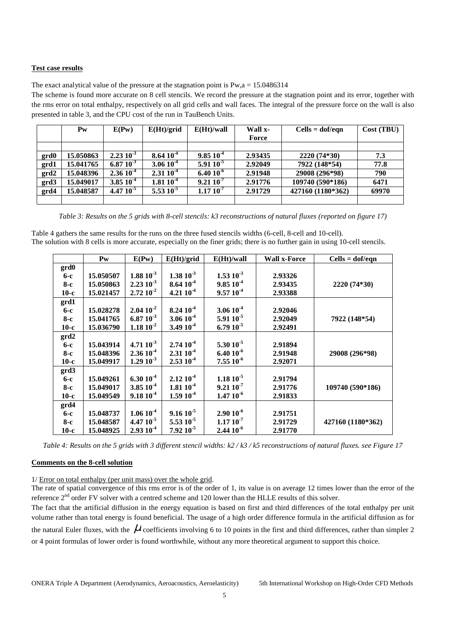## **Test case results**

The exact analytical value of the pressure at the stagnation point is  $Pw$ ,  $a = 15.0486314$ 

The scheme is found more accurate on 8 cell stencils. We record the pressure at the stagnation point and its error, together with the rms error on total enthalpy, respectively on all grid cells and wall faces. The integral of the pressure force on the wall is also presented in table 3, and the CPU cost of the run in TauBench Units.

|      | $P_{W}$   | E(Pw)           | E(Ht)/grid      | E(Ht)/wall      | Wall x- | $Cells = dof/eqn$ | Cost (TBU) |
|------|-----------|-----------------|-----------------|-----------------|---------|-------------------|------------|
|      |           |                 |                 |                 | Force   |                   |            |
|      |           |                 |                 |                 |         |                   |            |
| grd0 | 15.050863 | $2.23\ 10^{-3}$ | $8.64 10^{-4}$  | $9.85 10^{-4}$  | 2.93435 | 2220 (74*30)      | 7.3        |
| grd1 | 15.041765 | 6.87 $10^{-3}$  | $3.06 10^{-4}$  | $5.9110^{-5}$   | 2.92049 | 7922 (148*54)     | 77.8       |
| grd2 | 15.048396 | $2.3610^{4}$    | $2.31 10^{-4}$  | $6.40 10^{-6}$  | 2.91948 | 29008 (296*98)    | 790        |
| grd3 | 15.049017 | $3.85\ 10^{-4}$ | $1.81\ 10^{-4}$ | $9.2110^{-7}$   | 2.91776 | 109740 (590*186)  | 6471       |
| grd4 | 15.048587 | $4.47~10^{-5}$  | $5.5310^{-5}$   | $1.17\ 10^{-7}$ | 2.91729 | 427160 (1180*362) | 69970      |
|      |           |                 |                 |                 |         |                   |            |

*Table 3: Results on the 5 grids with 8-cell stencils: k3 reconstructions of natural fluxes (reported on figure 17)* 

Table 4 gathers the same results for the runs on the three fused stencils widths (6-cell, 8-cell and 10-cell). The solution with 8 cells is more accurate, especially on the finer grids; there is no further gain in using 10-cell stencils.

|        | Pw        | E(Pw)          | E(Ht)/grid      | E(Ht)/wall      | <b>Wall x-Force</b> | $Cells = dof/eqn$ |
|--------|-----------|----------------|-----------------|-----------------|---------------------|-------------------|
| grd0   |           |                |                 |                 |                     |                   |
| 6-с    | 15.050507 | $1.88 10^{-3}$ | $1.38\ 10^{-3}$ | $1.53 10^{-3}$  | 2.93326             |                   |
| 8-с    | 15.050863 | $2.2310^{-3}$  | $8.64 10^{-4}$  | $9.85 10^{-4}$  | 2.93435             | 2220 (74*30)      |
| $10-c$ | 15.021457 | $2.72 10^{-2}$ | 4.21 $10^{-4}$  | $9.5710^{4}$    | 2.93388             |                   |
| grd1   |           |                |                 |                 |                     |                   |
| 6-с    | 15.028278 | $2.0410^{2}$   | $8.24 10^{-4}$  | $3.0610^{4}$    | 2.92046             |                   |
| $8-c$  | 15.041765 | $6.87 10^{-3}$ | $3.06 10^{-4}$  | $5.9110^{-5}$   | 2.92049             | 7922 (148*54)     |
| $10-c$ | 15.036790 | $1.18 10^{-2}$ | 3.49 $10^{-4}$  | $6.7910^{-5}$   | 2.92491             |                   |
| grd2   |           |                |                 |                 |                     |                   |
| $6-c$  | 15.043914 | $4.7110^{-3}$  | $2.7410^{4}$    | $5.30 10^{-5}$  | 2.91894             |                   |
| 8-с    | 15.048396 | $2.3610^{4}$   | $2.3110^{4}$    | $6.40 10^{-6}$  | 2.91948             | 29008 (296*98)    |
| $10-c$ | 15.049917 | $1.29 10^{-3}$ | $2.5310^{4}$    | $7.5510^{-6}$   | 2.92071             |                   |
| grd3   |           |                |                 |                 |                     |                   |
| $6-c$  | 15.049261 | $6.30 10^{-4}$ | $2.12 10^{-4}$  | $1.18 10^{-5}$  | 2.91794             |                   |
| 8-с    | 15.049017 | $3.8510^{4}$   | $1.8110^{-4}$   | $9.2110^{-7}$   | 2.91776             | 109740 (590*186)  |
| $10-c$ | 15.049549 | $9.1810^{4}$   | $1.59 10^{-4}$  | $1.4710^{-6}$   | 2.91833             |                   |
| grd4   |           |                |                 |                 |                     |                   |
| $6-c$  | 15.048737 | $1.0610^{4}$   | $9.16 10^{-5}$  | $2.90 10^{-6}$  | 2.91751             |                   |
| $8-c$  | 15.048587 | $4.4710^{3}$   | $5.5310^{-5}$   | $1.17\ 10^{-7}$ | 2.91729             | 427160 (1180*362) |
| $10-c$ | 15.048925 | $2.9310^{4}$   | $7.92~10^{-5}$  | $2.4410^{-6}$   | 2.91770             |                   |

*Table 4: Results on the 5 grids with 3 different stencil widths: k2 / k3 / k5 reconstructions of natural fluxes. see Figure 17* 

### **Comments on the 8-cell solution**

1/ Error on total enthalpy (per unit mass) over the whole grid.

The rate of spatial convergence of this rms error is of the order of 1, its value is on average 12 times lower than the error of the reference  $2<sup>nd</sup>$  order FV solver with a centred scheme and 120 lower than the HLLE results of this solver.

The fact that the artificial diffusion in the energy equation is based on first and third differences of the total enthalpy per unit volume rather than total energy is found beneficial. The usage of a high order difference formula in the artificial diffusion as for the natural Euler fluxes, with the  $\mu$  coefficients involving 6 to 10 points in the first and third differences, rather than simpler 2 or 4 point formulas of lower order is found worthwhile, without any more theoretical argument to support this choice.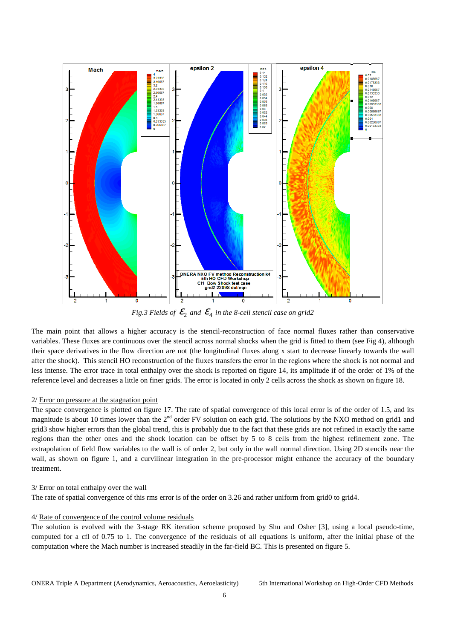

Fig.3 Fields of  $\mathcal{E}_2$  and  $\mathcal{E}_4$  in the 8-cell stencil case on grid2

The main point that allows a higher accuracy is the stencil-reconstruction of face normal fluxes rather than conservative variables. These fluxes are continuous over the stencil across normal shocks when the grid is fitted to them (see Fig 4), although their space derivatives in the flow direction are not (the longitudinal fluxes along x start to decrease linearly towards the wall after the shock). This stencil HO reconstruction of the fluxes transfers the error in the regions where the shock is not normal and less intense. The error trace in total enthalpy over the shock is reported on figure 14, its amplitude if of the order of 1% of the reference level and decreases a little on finer grids. The error is located in only 2 cells across the shock as shown on figure 18.

## 2/ Error on pressure at the stagnation point

The space convergence is plotted on figure 17. The rate of spatial convergence of this local error is of the order of 1.5, and its magnitude is about 10 times lower than the  $2^{nd}$  order FV solution on each grid. The solutions by the NXO method on grid1 and grid3 show higher errors than the global trend, this is probably due to the fact that these grids are not refined in exactly the same regions than the other ones and the shock location can be offset by 5 to 8 cells from the highest refinement zone. The extrapolation of field flow variables to the wall is of order 2, but only in the wall normal direction. Using 2D stencils near the wall, as shown on figure 1, and a curvilinear integration in the pre-processor might enhance the accuracy of the boundary treatment.

#### 3/ Error on total enthalpy over the wall

The rate of spatial convergence of this rms error is of the order on 3.26 and rather uniform from grid0 to grid4.

#### 4/ Rate of convergence of the control volume residuals

The solution is evolved with the 3-stage RK iteration scheme proposed by Shu and Osher [3], using a local pseudo-time, computed for a cfl of 0.75 to 1. The convergence of the residuals of all equations is uniform, after the initial phase of the computation where the Mach number is increased steadily in the far-field BC. This is presented on figure 5.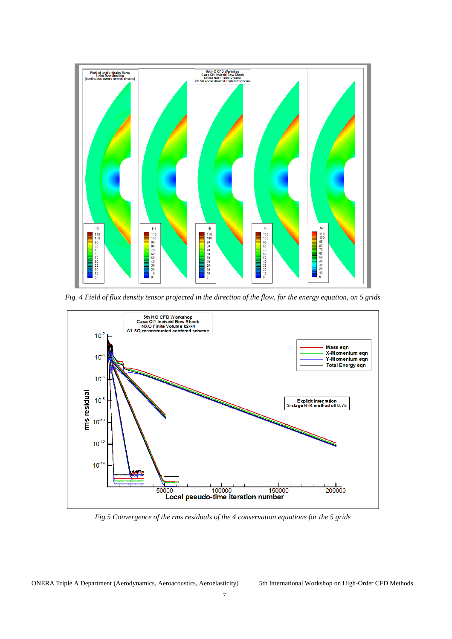

*Fig. 4 Field of flux density tensor projected in the direction of the flow, for the energy equation, on 5 grids* 



*Fig.5 Convergence of the rms residuals of the 4 conservation equations for the 5 grids*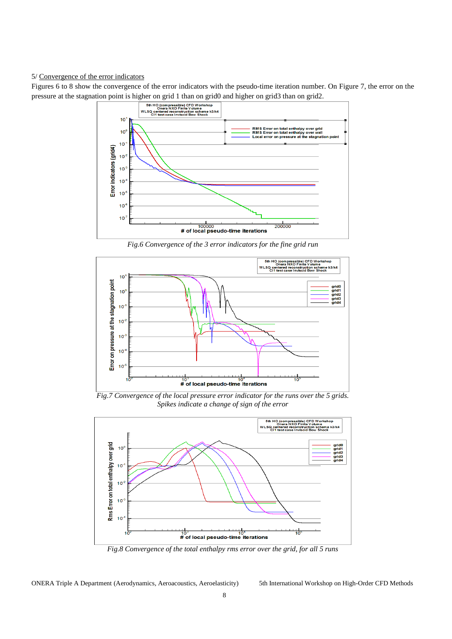#### 5/ Convergence of the error indicators

Figures 6 to 8 show the convergence of the error indicators with the pseudo-time iteration number. On Figure 7, the error on the pressure at the stagnation point is higher on grid 1 than on grid0 and higher on grid3 than on grid2.



*Fig.6 Convergence of the 3 error indicators for the fine grid run* 



*Fig.7 Convergence of the local pressure error indicator for the runs over the 5 grids. Spikes indicate a change of sign of the error* 



*Fig.8 Convergence of the total enthalpy rms error over the grid, for all 5 runs*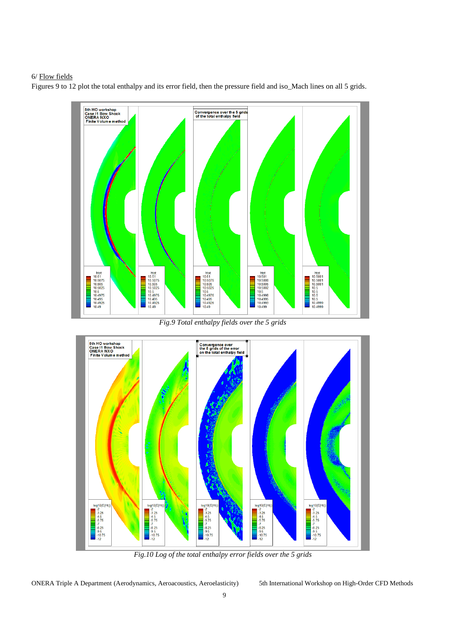## 6/ Flow fields

Figures 9 to 12 plot the total enthalpy and its error field, then the pressure field and iso\_Mach lines on all 5 grids.



*Fig.9 Total enthalpy fields over the 5 grids*



*Fig.10 Log of the total enthalpy error fields over the 5 grids*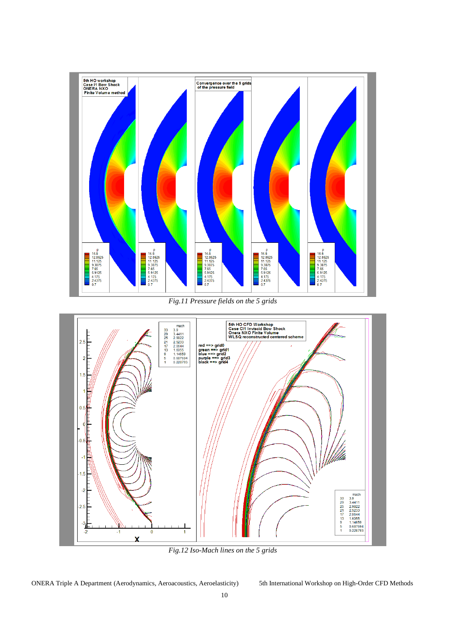

*Fig.11 Pressure fields on the 5 grids*



*Fig.12 Iso-Mach lines on the 5 grids*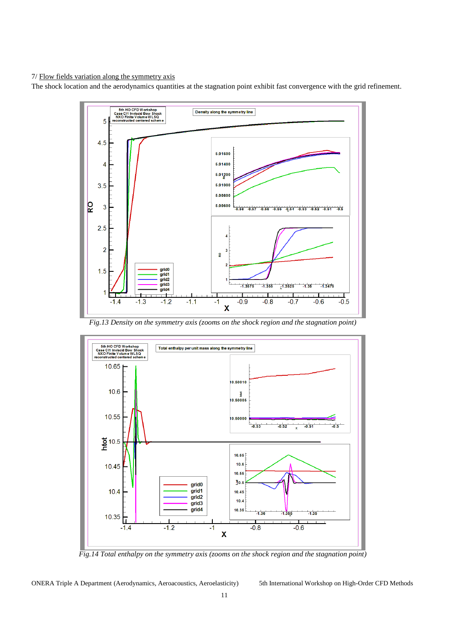7/ Flow fields variation along the symmetry axis

The shock location and the aerodynamics quantities at the stagnation point exhibit fast convergence with the grid refinement.



*Fig.13 Density on the symmetry axis (zooms on the shock region and the stagnation point)*



*Fig.14 Total enthalpy on the symmetry axis (zooms on the shock region and the stagnation point)*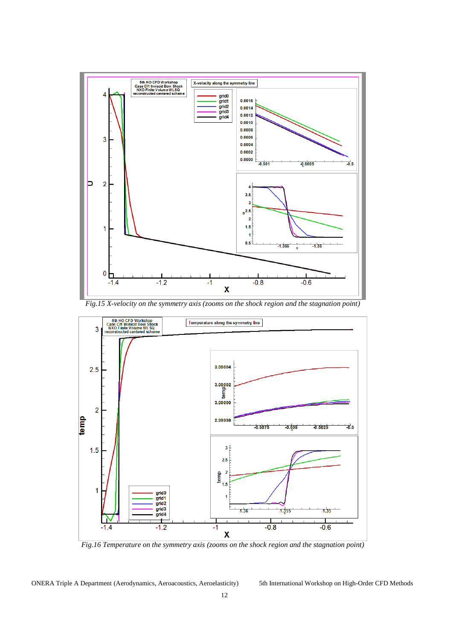

*Fig.15 X-velocity on the symmetry axis (zooms on the shock region and the stagnation point)*



*Fig.16 Temperature on the symmetry axis (zooms on the shock region and the stagnation point)*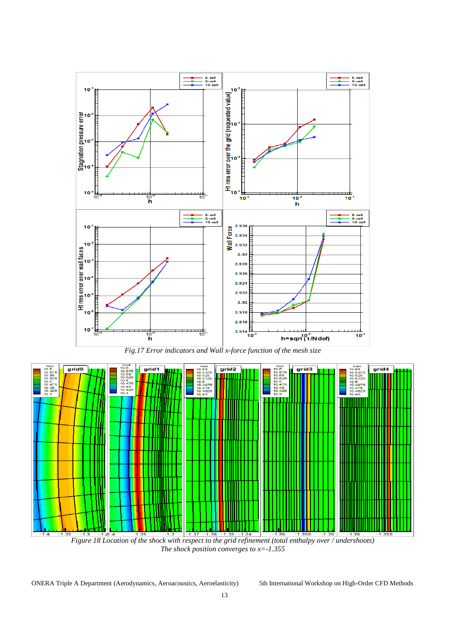

*Fig.17 Error indicators and Wall x-force function of the mesh size* 



*Figure 18 Location of the shock with respect to the grid refinement (total enthalpy over / undershoots) The shock position converges to x=-1.355*